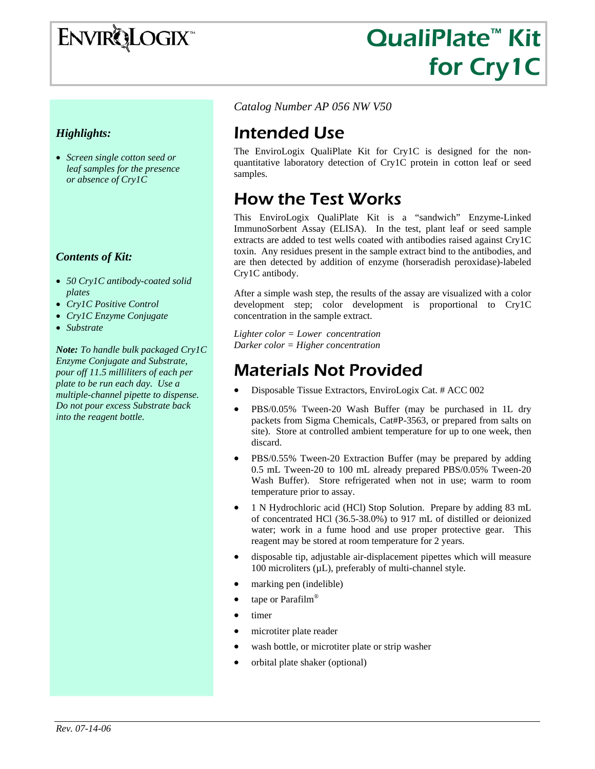

# QualiPlate™ Kit for Cry1C

### *Highlights:*

• *Screen single cotton seed or leaf samples for the presence or absence of Cry1C* 

#### *Contents of Kit:*

- *50 Cry1C antibody-coated solid plates*
- *Cry1C Positive Control*
- *Cry1C Enzyme Conjugate*
- *Substrate*

*Note: To handle bulk packaged Cry1C Enzyme Conjugate and Substrate, pour off 11.5 milliliters of each per plate to be run each day. Use a multiple-channel pipette to dispense. Do not pour excess Substrate back into the reagent bottle.* 

*Catalog Number AP 056 NW V50* 

## Intended Use

The EnviroLogix QualiPlate Kit for Cry1C is designed for the nonquantitative laboratory detection of Cry1C protein in cotton leaf or seed samples.

### How the Test Works

This EnviroLogix QualiPlate Kit is a "sandwich" Enzyme-Linked ImmunoSorbent Assay (ELISA). In the test, plant leaf or seed sample extracts are added to test wells coated with antibodies raised against Cry1C toxin. Any residues present in the sample extract bind to the antibodies, and are then detected by addition of enzyme (horseradish peroxidase)-labeled Cry1C antibody.

After a simple wash step, the results of the assay are visualized with a color development step; color development is proportional to Cry1C concentration in the sample extract.

*Lighter color = Lower concentration Darker color = Higher concentration* 

### Materials Not Provided

- Disposable Tissue Extractors, EnviroLogix Cat. # ACC 002
- PBS/0.05% Tween-20 Wash Buffer (may be purchased in 1L dry packets from Sigma Chemicals, Cat#P-3563, or prepared from salts on site). Store at controlled ambient temperature for up to one week, then discard.
- PBS/0.55% Tween-20 Extraction Buffer (may be prepared by adding 0.5 mL Tween-20 to 100 mL already prepared PBS/0.05% Tween-20 Wash Buffer). Store refrigerated when not in use; warm to room temperature prior to assay.
- 1 N Hydrochloric acid (HCl) Stop Solution. Prepare by adding 83 mL of concentrated HCl (36.5-38.0%) to 917 mL of distilled or deionized water; work in a fume hood and use proper protective gear. This reagent may be stored at room temperature for 2 years.
- disposable tip, adjustable air-displacement pipettes which will measure 100 microliters (µL), preferably of multi-channel style.
- marking pen (indelible)
- tape or Parafilm®
- timer
- microtiter plate reader
- wash bottle, or microtiter plate or strip washer
- orbital plate shaker (optional)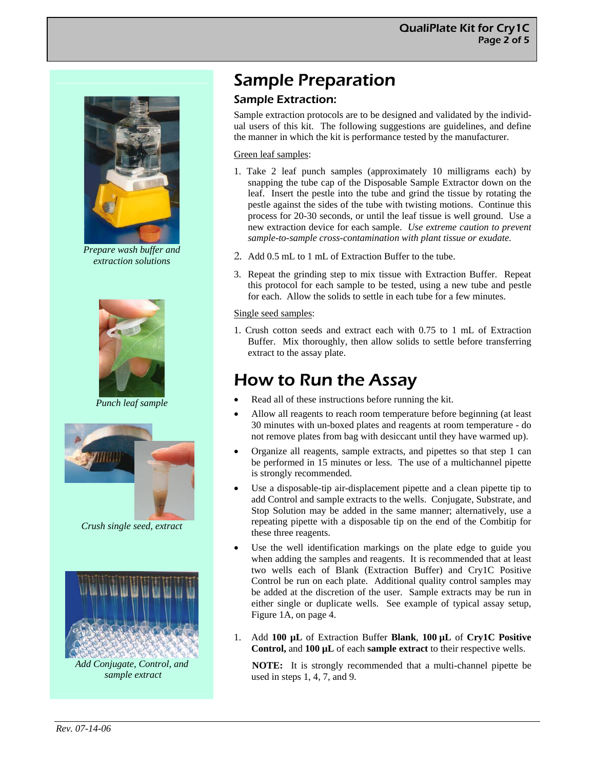

*Prepare wash buffer and extraction solutions* 



*Punch leaf sample* 



*Crush single seed, extract* 



*Add Conjugate, Control, and sample extract* 

# Sample Preparation

### Sample Extraction:

Sample extraction protocols are to be designed and validated by the individual users of this kit. The following suggestions are guidelines, and define the manner in which the kit is performance tested by the manufacturer.

#### Green leaf samples:

- 1. Take 2 leaf punch samples (approximately 10 milligrams each) by snapping the tube cap of the Disposable Sample Extractor down on the leaf. Insert the pestle into the tube and grind the tissue by rotating the pestle against the sides of the tube with twisting motions. Continue this process for 20-30 seconds, or until the leaf tissue is well ground. Use a new extraction device for each sample. *Use extreme caution to prevent sample-to-sample cross-contamination with plant tissue or exudate.*
- 2. Add 0.5 mL to 1 mL of Extraction Buffer to the tube.
- 3. Repeat the grinding step to mix tissue with Extraction Buffer. Repeat this protocol for each sample to be tested, using a new tube and pestle for each. Allow the solids to settle in each tube for a few minutes.

#### Single seed samples:

1. Crush cotton seeds and extract each with 0.75 to 1 mL of Extraction Buffer. Mix thoroughly, then allow solids to settle before transferring extract to the assay plate.

### How to Run the Assay

- Read all of these instructions before running the kit.
- Allow all reagents to reach room temperature before beginning (at least 30 minutes with un-boxed plates and reagents at room temperature - do not remove plates from bag with desiccant until they have warmed up).
- Organize all reagents, sample extracts, and pipettes so that step 1 can be performed in 15 minutes or less. The use of a multichannel pipette is strongly recommended.
- Use a disposable-tip air-displacement pipette and a clean pipette tip to add Control and sample extracts to the wells. Conjugate, Substrate, and Stop Solution may be added in the same manner; alternatively, use a repeating pipette with a disposable tip on the end of the Combitip for these three reagents.
- Use the well identification markings on the plate edge to guide you when adding the samples and reagents. It is recommended that at least two wells each of Blank (Extraction Buffer) and Cry1C Positive Control be run on each plate. Additional quality control samples may be added at the discretion of the user. Sample extracts may be run in either single or duplicate wells. See example of typical assay setup, Figure 1A, on page 4.
- 1. Add **100 µL** of Extraction Buffer **Blank**, **100 µL** of **Cry1C Positive Control,** and **100 µL** of each **sample extract** to their respective wells.

**NOTE:** It is strongly recommended that a multi-channel pipette be used in steps 1, 4, 7, and 9.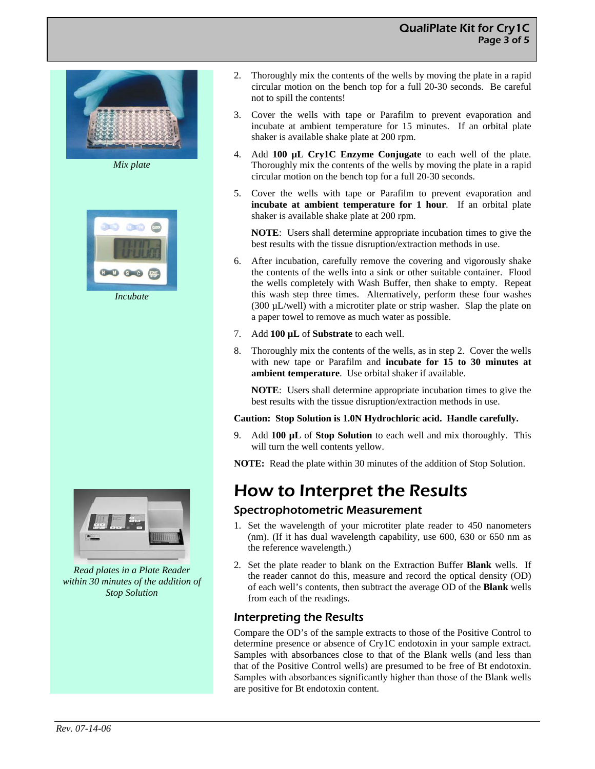### QualiPlate Kit for Cry1C Page 3 of 5



*Mix plate* 



*Incubate* 



*Read plates in a Plate Reader within 30 minutes of the addition of Stop Solution* 

- 2. Thoroughly mix the contents of the wells by moving the plate in a rapid circular motion on the bench top for a full 20-30 seconds. Be careful not to spill the contents!
- 3. Cover the wells with tape or Parafilm to prevent evaporation and incubate at ambient temperature for 15 minutes. If an orbital plate shaker is available shake plate at 200 rpm.
- 4. Add **100 µL Cry1C Enzyme Conjugate** to each well of the plate. Thoroughly mix the contents of the wells by moving the plate in a rapid circular motion on the bench top for a full 20-30 seconds.
- 5. Cover the wells with tape or Parafilm to prevent evaporation and **incubate at ambient temperature for 1 hour**. If an orbital plate shaker is available shake plate at 200 rpm.

**NOTE**: Users shall determine appropriate incubation times to give the best results with the tissue disruption/extraction methods in use.

- 6. After incubation, carefully remove the covering and vigorously shake the contents of the wells into a sink or other suitable container. Flood the wells completely with Wash Buffer, then shake to empty. Repeat this wash step three times. Alternatively, perform these four washes (300 µL/well) with a microtiter plate or strip washer. Slap the plate on a paper towel to remove as much water as possible.
- 7. Add **100 µL** of **Substrate** to each well.
- 8. Thoroughly mix the contents of the wells, as in step 2. Cover the wells with new tape or Parafilm and **incubate for 15 to 30 minutes at ambient temperature**. Use orbital shaker if available.

**NOTE**: Users shall determine appropriate incubation times to give the best results with the tissue disruption/extraction methods in use.

#### **Caution: Stop Solution is 1.0N Hydrochloric acid. Handle carefully.**

9. Add **100 µL** of **Stop Solution** to each well and mix thoroughly. This will turn the well contents yellow.

**NOTE:** Read the plate within 30 minutes of the addition of Stop Solution.

### How to Interpret the Results

#### Spectrophotometric Measurement

- 1. Set the wavelength of your microtiter plate reader to 450 nanometers (nm). (If it has dual wavelength capability, use 600, 630 or 650 nm as the reference wavelength.)
- 2. Set the plate reader to blank on the Extraction Buffer **Blank** wells. If the reader cannot do this, measure and record the optical density (OD) of each well's contents, then subtract the average OD of the **Blank** wells from each of the readings.

#### Interpreting the Results

Compare the OD's of the sample extracts to those of the Positive Control to determine presence or absence of Cry1C endotoxin in your sample extract. Samples with absorbances close to that of the Blank wells (and less than that of the Positive Control wells) are presumed to be free of Bt endotoxin. Samples with absorbances significantly higher than those of the Blank wells are positive for Bt endotoxin content.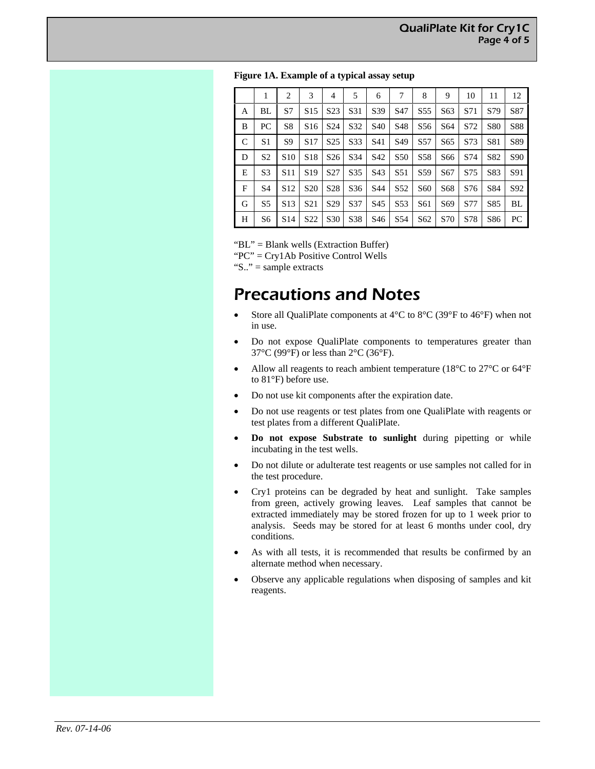|   |                | $\overline{c}$  | 3               | 4               | 5               | 6               | 7               | 8               | 9               | 10  | 11  | 12              |
|---|----------------|-----------------|-----------------|-----------------|-----------------|-----------------|-----------------|-----------------|-----------------|-----|-----|-----------------|
| A | BL             | S7              | S <sub>15</sub> | S <sub>23</sub> | S31             | S39             | S <sub>47</sub> | S <sub>55</sub> | S63             | S71 | S79 | S87             |
| B | PC             | S8              | S <sub>16</sub> | S <sub>24</sub> | S32             | S <sub>40</sub> | S48             | S <sub>56</sub> | S64             | S72 | S80 | <b>S88</b>      |
| C | S <sub>1</sub> | S9              | S <sub>17</sub> | S <sub>25</sub> | S33             | S41             | S <sub>49</sub> | S <sub>57</sub> | S <sub>65</sub> | S73 | S81 | S89             |
| D | S <sub>2</sub> | S <sub>10</sub> | S <sub>18</sub> | S <sub>26</sub> | S34             | S42             | S <sub>50</sub> | S <sub>58</sub> | S66             | S74 | S82 | S <sub>90</sub> |
| E | S <sub>3</sub> | S <sub>11</sub> | S <sub>19</sub> | S <sub>27</sub> | S <sub>35</sub> | S <sub>43</sub> | S <sub>51</sub> | S <sub>59</sub> | S <sub>67</sub> | S75 | S83 | S91             |
| F | S <sub>4</sub> | S <sub>12</sub> | S <sub>20</sub> | S <sub>28</sub> | S <sub>36</sub> | S44             | S <sub>52</sub> | S60             | S68             | S76 | S84 | S92             |
| G | S5             | S <sub>13</sub> | S <sub>21</sub> | S <sub>29</sub> | S37             | S45             | S <sub>53</sub> | S61             | S69             | S77 | S85 | BL              |
| H | S6             | S <sub>14</sub> | S <sub>22</sub> | S <sub>30</sub> | S38             | S46             | S <sub>54</sub> | S62             | S70             | S78 | S86 | PC              |

"BL" = Blank wells (Extraction Buffer)

"PC" = Cry1Ab Positive Control Wells

"S.." = sample extracts

### Precautions and Notes

- Store all QualiPlate components at  $4^{\circ}$ C to  $8^{\circ}$ C (39°F to  $46^{\circ}$ F) when not in use.
- Do not expose QualiPlate components to temperatures greater than 37°C (99°F) or less than 2°C (36°F).
- Allow all reagents to reach ambient temperature (18 $^{\circ}$ C to 27 $^{\circ}$ C or 64 $^{\circ}$ F to 81°F) before use.
- Do not use kit components after the expiration date.
- Do not use reagents or test plates from one QualiPlate with reagents or test plates from a different QualiPlate.
- **Do not expose Substrate to sunlight** during pipetting or while incubating in the test wells.
- Do not dilute or adulterate test reagents or use samples not called for in the test procedure.
- Cry1 proteins can be degraded by heat and sunlight. Take samples from green, actively growing leaves. Leaf samples that cannot be extracted immediately may be stored frozen for up to 1 week prior to analysis. Seeds may be stored for at least 6 months under cool, dry conditions.
- As with all tests, it is recommended that results be confirmed by an alternate method when necessary.
- Observe any applicable regulations when disposing of samples and kit reagents.